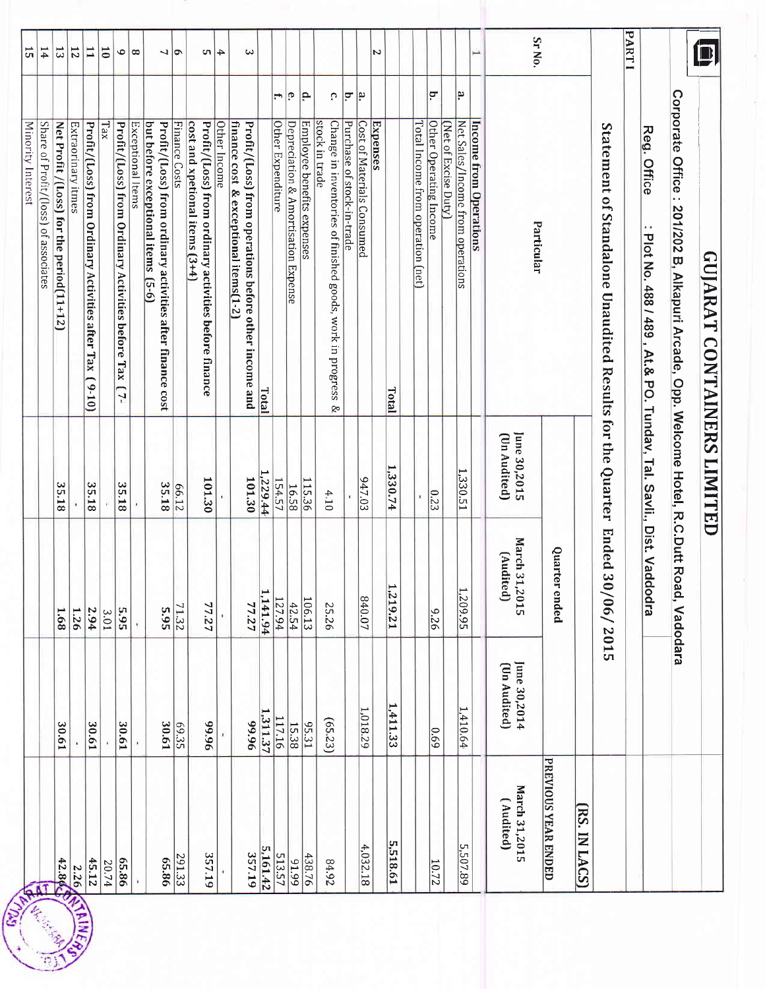|                            |                              |                                 |                                              | Minority Interest                                                                             | 15                        |  |
|----------------------------|------------------------------|---------------------------------|----------------------------------------------|-----------------------------------------------------------------------------------------------|---------------------------|--|
|                            |                              |                                 |                                              | Share of Profit/(loss) of associates                                                          | 14                        |  |
|                            | 30.61                        | 1.68                            | 35.18                                        | Net Profit /(Loss) for the period(11+12)                                                      | $\overline{\mathfrak{c}}$ |  |
| <b>12.89 SEAME</b>         |                              | 1.26                            |                                              | Extraorinary itmes                                                                            | 12                        |  |
| 45.12                      | 30.61                        | 2.94                            | 35.18                                        | Profit/(Loss) from Ordinary Activities after Tax<br>$(01-6)$                                  | $\mathbf{1}$              |  |
| 20.74                      |                              | 3.01                            |                                              | Tax                                                                                           | $\overline{\mathsf{c}}$   |  |
| 65.86                      | 30.61                        | 5.95                            | 35.18                                        | Profit/(Loss) from Ordinary Activities before<br>Tax<br>Ľ7.                                   | $\bullet$                 |  |
|                            | ¥                            | ï                               | r                                            | Exceptional ltems                                                                             | $\infty$                  |  |
|                            |                              |                                 |                                              | but before exceptional items (5-6)                                                            |                           |  |
| 65.86                      | 30.61                        |                                 | 35.18                                        | Profit/(Loss) from ordinary activities after finance cost                                     | 7                         |  |
| 291.33                     | 69.35                        | $\frac{71.32}{5.95}$            | 66.12                                        | Finance Costs                                                                                 | ۱ø                        |  |
| 357.19                     | 96'66                        | 77.27                           | 101.30                                       | cost and xpetional items $(3+4)$<br>Profit/(Loss) from ordinary activities before finance     | c                         |  |
|                            |                              |                                 |                                              | Other Income                                                                                  | $\ddot{}$                 |  |
|                            |                              |                                 |                                              | finance cost & exceptional items(1-2<br>Profit/(Loss) from operations before other income and | ω                         |  |
| 357.19                     | 96'66                        | 77.27                           | 101.30                                       |                                                                                               |                           |  |
| 5,161.42                   | 1,311.37                     | 1,141.94                        | 1,229.44                                     | Total                                                                                         |                           |  |
| 513.57                     | 117.16                       | 127.94                          | 154.57                                       | ÷.<br>Other Expenditure                                                                       |                           |  |
| 66'16                      | 15.38                        | 42.54                           | 16.58                                        | ۹<br>Depreciation & Amortisation Expense                                                      |                           |  |
| 438.76                     | $\frac{95.31}{2}$            | $\frac{106.13}{ }$              | 115.36                                       | ١P<br>Employee benefits expenses                                                              |                           |  |
| 84.92                      | (65.23)                      | 25.26                           | 4.10                                         | Ω.<br>stock in trade<br>Change in inventories of finished goods, work in progress<br>Ŗ,       |                           |  |
|                            |                              |                                 |                                              | Ξ.<br>Purchase of stock-in-trade                                                              |                           |  |
| 4,032.18                   | 1,018.29                     | 840.07                          | 947.03                                       | بم.<br>•<br>Cost of Materials Consumed                                                        |                           |  |
|                            |                              |                                 |                                              | <b>Expenses</b>                                                                               | Z                         |  |
| 5,518.61                   | 1,411.33                     | 1219.21                         | 1,330.74                                     | Total                                                                                         |                           |  |
|                            |                              |                                 |                                              |                                                                                               |                           |  |
|                            |                              |                                 |                                              | Total Income from operation (net)                                                             |                           |  |
| 10.72                      | 69.0                         | 926                             | 0.23                                         | ά.<br>Other Operating Income                                                                  |                           |  |
|                            |                              |                                 |                                              | Net of Excise Duty)                                                                           |                           |  |
| 5,507.89                   | 1,410.64                     | 1,209.95                        | 1,330.51                                     | م.<br>Net Sales/Income from operations                                                        |                           |  |
|                            |                              |                                 |                                              | Income from Operations                                                                        |                           |  |
| March 31,2015<br>(Audited) | June 30,2014<br>(Un Audited) | March 31<br>(Audited)<br>.,2015 | June 30,2015<br>(Un Audited)                 |                                                                                               |                           |  |
| PREVIOUS YEAR ENDED        |                              | Quarter ended                   |                                              | Particular                                                                                    | Sr No.                    |  |
| [RS. IN LACS]              |                              |                                 |                                              |                                                                                               |                           |  |
|                            |                              | Ended 30/06/2015                |                                              | Statement of Standalone Unaudited Results for the Quarter                                     |                           |  |
|                            |                              |                                 |                                              |                                                                                               | PART1                     |  |
|                            |                              |                                 | At.& PO. Tunday, Tal. Savli., Dist. Vaddodra | Reg. Office<br>٠,<br>Plot No. 488 / 489,                                                      |                           |  |
|                            |                              |                                 |                                              | Corporate Office:<br>2011202 B, Alkapuri Arcade, Opp. Welcome Hotel, R.C.Dutt Road, Vadodara  |                           |  |
|                            |                              |                                 |                                              | <b>GUJARAT CONTAINERS LIMITED</b>                                                             |                           |  |
|                            |                              |                                 |                                              |                                                                                               |                           |  |
|                            |                              |                                 |                                              |                                                                                               |                           |  |

 $\overline{\mathcal{D}}$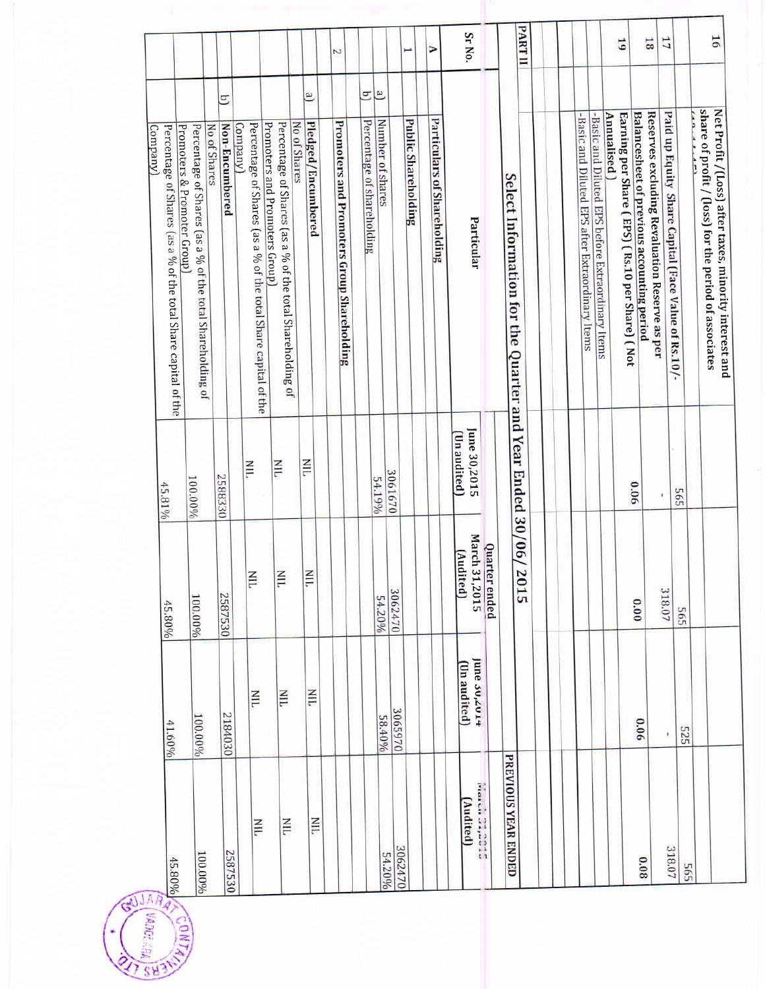|                                                                                               |                                                                           |                     |                |                                                                |                                                                                             |                  |                                      | Z                                          |                                 |                                    |                            | ⋗                           | Sr No.                                           |                     | PARTII                                                     |                                                  |                                                   | 5                                                             | 31                                                                                          | 17                                                  |     | $\overline{91}$                                                                                                        |
|-----------------------------------------------------------------------------------------------|---------------------------------------------------------------------------|---------------------|----------------|----------------------------------------------------------------|---------------------------------------------------------------------------------------------|------------------|--------------------------------------|--------------------------------------------|---------------------------------|------------------------------------|----------------------------|-----------------------------|--------------------------------------------------|---------------------|------------------------------------------------------------|--------------------------------------------------|---------------------------------------------------|---------------------------------------------------------------|---------------------------------------------------------------------------------------------|-----------------------------------------------------|-----|------------------------------------------------------------------------------------------------------------------------|
| Promoters & Promoter Group]<br>Percentage of Shares (as a % of the total Share capital of the | Percentage of Shares (as a % of the total Shareholding of<br>No of Shares | Ξ<br>Non-Encumbered | <b>Company</b> | Percentage of Shares (as a % of the total Share capital of the | Percentage of Shares (as a % of the total Shareholding of<br>Promoters and Promoters Group) | No of Shares     | $\overline{e}$<br>Pledged/Encumbered | Promoters and Promoters Group Shareholding | Ξ<br>Percentage of shareholding | $\overline{a}$<br>Number of shares | <b>Public Shareholding</b> | Particulars of Shareholding | Particular                                       |                     | Select Information for the Quarter and Year Ended 30/06/20 | -Basic and Diluted EPS after Extraordinary ltems | -Basic and Diluted EPS before Extraordinary Items | Earning per Share (EPS) (Rs.10 per Share) (Not<br>Annualised) | Reserves excluding Revaluation Reserve as per<br>Balancesheet of previous accounting period | Paid up Equity Share Capital (Face Value of Rs.10/- |     | share of profit / (loss) for the period of associates<br>Net Profit /(Loss) after taxes, minority interest and<br>$-1$ |
| 45.81%                                                                                        | 100.00%                                                                   | 2588330             |                | <b>NIL</b>                                                     | NIL                                                                                         | $\frac{Z}{\Box}$ |                                      |                                            | 54.19%                          | 3061670                            |                            |                             | June 30,2015<br>Un audited)                      |                     |                                                            |                                                  |                                                   |                                                               | 0.06                                                                                        |                                                     | 565 |                                                                                                                        |
| 45.80%                                                                                        | 100.00%                                                                   | 2587530             |                | H                                                              | НLL                                                                                         |                  | $\overline{111}$                     |                                            |                                 | 3062470<br>54.20%                  |                            |                             | March 31,2015<br>Quarter ended<br>(Audited)      |                     | $\frac{1}{2}$                                              |                                                  |                                                   |                                                               | 0.00                                                                                        | 318.07                                              | 565 |                                                                                                                        |
| 41.60%                                                                                        | 100.00%                                                                   | 2184030             |                | Ξ                                                              | $\frac{1}{2}$                                                                               |                  | $\frac{1}{2}$                        |                                            |                                 | 58.40%                             | 3065970                    |                             | June 30,401+<br>Un audited)                      |                     |                                                            |                                                  |                                                   |                                                               | 90'0                                                                                        | ×                                                   | 525 |                                                                                                                        |
| 45.80%                                                                                        | 100.00%                                                                   | 2587530             |                | Ξ                                                              | Ξ                                                                                           |                  | $\frac{Z}{\Box}$                     |                                            |                                 | 54.20%                             | 3062470                    |                             | $\frac{1}{\pi}$<br>That Ch U Appear<br>(Audited) | PREVIOUS YEAR ENDED |                                                            |                                                  |                                                   |                                                               | 80'0                                                                                        | 318.07                                              | 565 |                                                                                                                        |